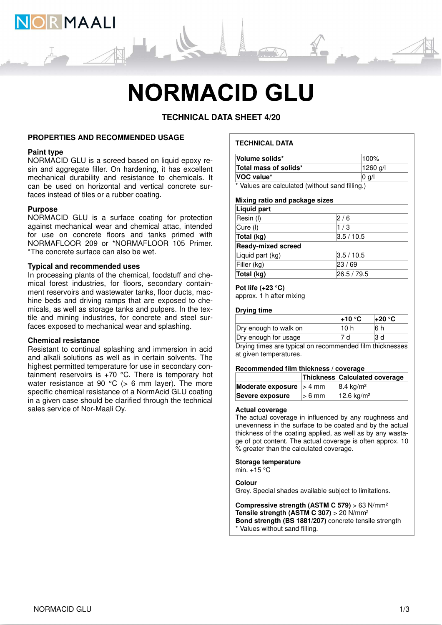

# **NORMACID GLU**

**TECHNICAL DATA SHEET 4/20**

# **PROPERTIES AND RECOMMENDED USAGE**

# **Paint type**

NORMACID GLU is a screed based on liquid epoxy resin and aggregate filler. On hardening, it has excellent mechanical durability and resistance to chemicals. It can be used on horizontal and vertical concrete surfaces instead of tiles or a rubber coating.

# **Purpose**

NORMACID GLU is a surface coating for protection against mechanical wear and chemical attac, intended for use on concrete floors and tanks primed with NORMAFLOOR 209 or \*NORMAFLOOR 105 Primer. \*The concrete surface can also be wet.

# **Typical and recommended uses**

In processing plants of the chemical, foodstuff and chemical forest industries, for floors, secondary containment reservoirs and wastewater tanks, floor ducts, machine beds and driving ramps that are exposed to chemicals, as well as storage tanks and pulpers. In the textile and mining industries, for concrete and steel surfaces exposed to mechanical wear and splashing.

# **Chemical resistance**

Resistant to continual splashing and immersion in acid and alkali solutions as well as in certain solvents. The highest permitted temperature for use in secondary containment reservoirs is +70 °C. There is temporary hot water resistance at 90 °C (> 6 mm layer). The more specific chemical resistance of a NormAcid GLU coating in a given case should be clarified through the technical sales service of Nor-Maali Oy.

# **TECHNICAL DATA**

| Volume solids*                    | $1100\%$           |
|-----------------------------------|--------------------|
| Total mass of solids*             | $ 1260 \text{ q}/$ |
| $\mathsf{VOC}$ value*             | 10 g/l             |
| <b><i><u><del>.</del></u></i></b> |                    |

\* Values are calculated (without sand filling.)

#### **Mixing ratio and package sizes**

| Liquid part               |             |  |  |
|---------------------------|-------------|--|--|
| Resin (I)                 | 2/6         |  |  |
| Cure (I)                  | 1/3         |  |  |
| Total (kg)                | 3.5/10.5    |  |  |
| <b>Ready-mixed screed</b> |             |  |  |
| Liquid part (kg)          | 3.5/10.5    |  |  |
| Filler (kg)               | 23 / 69     |  |  |
| Total (kg)                | 26.5 / 79.5 |  |  |

# **Pot life (+23 °C)**

approx. 1 h after mixing

# **Drying time**

|                       | l+10 °C | 1+20 °C |
|-----------------------|---------|---------|
| Dry enough to walk on | 10 h    | 6 h     |
| Dry enough for usage  | ີ d     | 13 d    |

Drying times are typical on recommended film thicknesses at given temperatures.

### **Recommended film thickness / coverage**

|                                   |          | Thickness Calculated coverage |
|-----------------------------------|----------|-------------------------------|
| <b>Moderate exposure</b> $> 4$ mm |          | $ 8.4 \text{ kg/m}^2 $        |
| Severe exposure                   | $> 6$ mm | $12.6 \text{ kg/m}^2$         |

#### **Actual coverage**

The actual coverage in influenced by any roughness and unevenness in the surface to be coated and by the actual thickness of the coating applied, as well as by any wastage of pot content. The actual coverage is often approx. 10 % greater than the calculated coverage.

# **Storage temperature**

min  $+15$  °C

# **Colour**

Grey. Special shades available subject to limitations.

**Compressive strength (ASTM C 579)** > 63 N/mm² **Tensile strength (ASTM C 307)** > 20 N/mm² **Bond strength (BS 1881/207)** concrete tensile strength \* Values without sand filling.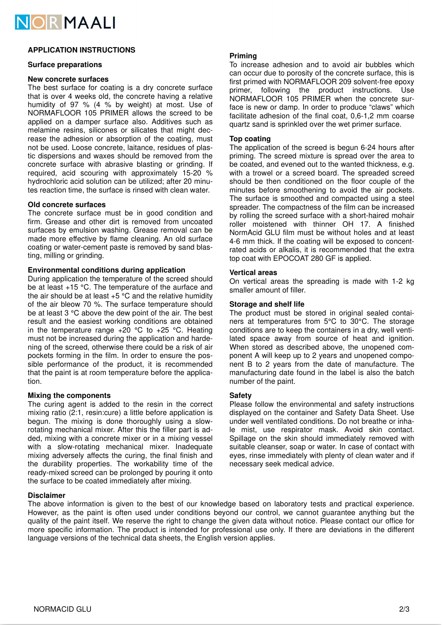

# **APPLICATION INSTRUCTIONS**

# **Surface preparations**

# **New concrete surfaces**

The best surface for coating is a dry concrete surface that is over 4 weeks old, the concrete having a relative humidity of 97 % (4 % by weight) at most. Use of NORMAFLOOR 105 PRIMER allows the screed to be applied on a damper surface also. Additives such as melamine resins, silicones or silicates that might decrease the adhesion or absorption of the coating, must not be used. Loose concrete, laitance, residues of plastic dispersions and waxes should be removed from the concrete surface with abrasive blasting or grinding. If required, acid scouring with approximately 15-20 % hydrochloric acid solution can be utilized; after 20 minutes reaction time, the surface is rinsed with clean water.

# **Old concrete surfaces**

The concrete surface must be in good condition and firm. Grease and other dirt is removed from uncoated surfaces by emulsion washing. Grease removal can be made more effective by flame cleaning. An old surface coating or water-cement paste is removed by sand blasting, milling or grinding.

# **Environmental conditions during application**

During application the temperature of the screed should be at least +15 °C. The temperature of the aurface and the air should be at least  $+5$  °C and the relative humidity of the air bleow 70 %. The surface temperature should be at least 3 °C above the dew point of the air. The best result and the easiest working conditions are obtained in the temperature range  $+20$  °C to  $+25$  °C. Heating must not be increased during the application and hardening of the screed, otherwise there could be a risk of air pockets forming in the film. In order to ensure the possible performance of the product, it is recommended that the paint is at room temperature before the application.

# **Mixing the components**

The curing agent is added to the resin in the correct mixing ratio (2:1, resin:cure) a little before application is begun. The mixing is done thoroughly using a slowrotating mechanical mixer. After this the filler part is added, mixing with a concrete mixer or in a mixing vessel with a slow-rotating mechanical mixer. Inadequate mixing adversely affects the curing, the final finish and the durability properties. The workability time of the ready-mixed screed can be prolonged by pouring it onto the surface to be coated immediately after mixing.

# **Disclaimer**

# The above information is given to the best of our knowledge based on laboratory tests and practical experience. However, as the paint is often used under conditions beyond our control, we cannot guarantee anything but the quality of the paint itself. We reserve the right to change the given data without notice. Please contact our office for more specific information. The product is intended for professional use only. If there are deviations in the different language versions of the technical data sheets, the English version applies.

# **Priming**

To increase adhesion and to avoid air bubbles which can occur due to porosity of the concrete surface, this is first primed with NORMAFLOOR 209 solvent-free epoxy primer, following the product instructions. Use NORMAFLOOR 105 PRIMER when the concrete surface is new or damp. In order to produce "claws" which facilitate adhesion of the final coat, 0,6-1,2 mm coarse quartz sand is sprinkled over the wet primer surface.

# **Top coating**

The application of the screed is begun 6-24 hours after priming. The screed mixture is spread over the area to be coated, and evened out to the wanted thickness, e.g. with a trowel or a screed board. The spreaded screed should be then conditioned on the floor couple of the minutes before smoothening to avoid the air pockets. The surface is smoothed and compacted using a steel spreader. The compactness of the film can be increased by rolling the screed surface with a short-haired mohair roller moistened with thinner OH 17. A finished NormAcid GLU film must be without holes and at least 4-6 mm thick. If the coating will be exposed to concentrated acids or alkalis, it is recommended that the extra top coat with EPOCOAT 280 GF is applied.

# **Vertical areas**

On vertical areas the spreading is made with 1-2 kg smaller amount of filler.

# **Storage and shelf life**

The product must be stored in original sealed containers at temperatures from 5°C to 30°C. The storage conditions are to keep the containers in a dry, well ventilated space away from source of heat and ignition. When stored as described above, the unopened component A will keep up to 2 years and unopened component B to 2 years from the date of manufacture. The manufacturing date found in the label is also the batch number of the paint.

### **Safety**

Please follow the environmental and safety instructions displayed on the container and Safety Data Sheet. Use under well ventilated conditions. Do not breathe or inhale mist, use respirator mask. Avoid skin contact. Spillage on the skin should immediately removed with suitable cleanser, soap or water. In case of contact with eyes, rinse immediately with plenty of clean water and if necessary seek medical advice.